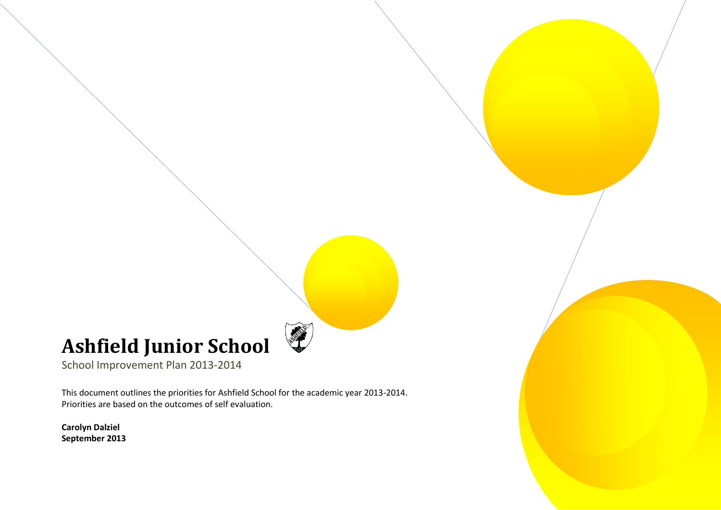## **Ashfield Junior School**

School Improvement Plan 2013-2014

This document outlines the priorities for Ashfield School for the academic year 2013-2014. Priorities are based on the outcomes of self evaluation.

**Carolyn Dalziel September 2013**

 $\overline{a}$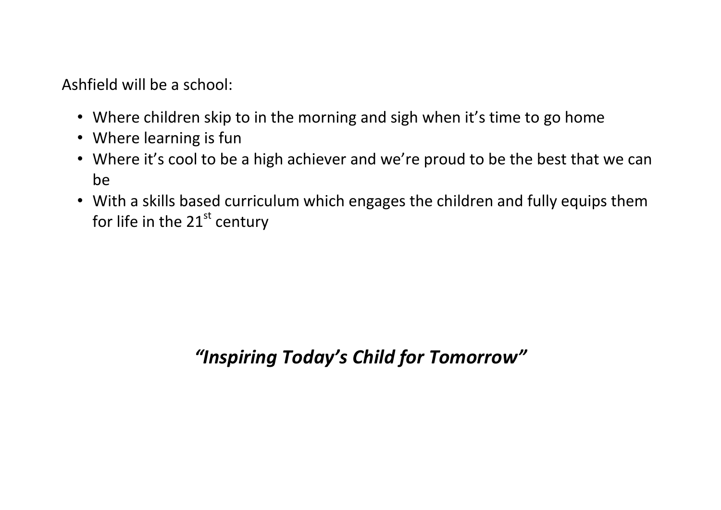Ashfield will be a school:

- Where children skip to in the morning and sigh when it's time to go home
- Where learning is fun
- Where it's cool to be a high achiever and we're proud to be the best that we can be
- With a skills based curriculum which engages the children and fully equips them for life in the  $21<sup>st</sup>$  century

# *"Inspiring Today's Child for Tomorrow"*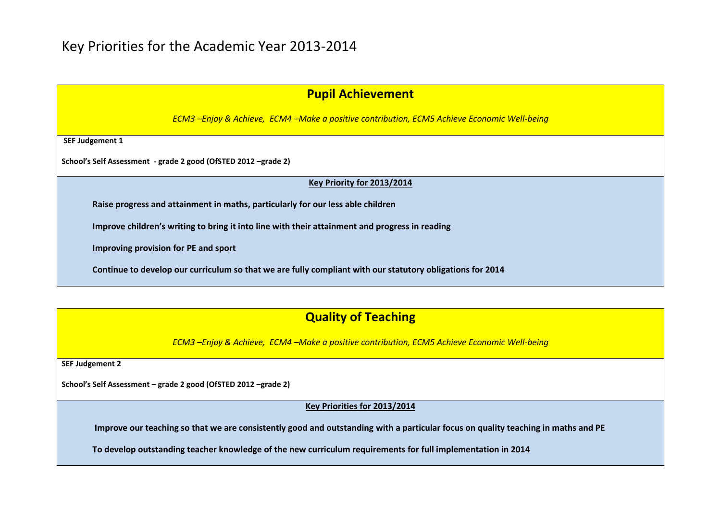| <b>Pupil Achievement</b> |  |  |  |  |  |
|--------------------------|--|--|--|--|--|
|--------------------------|--|--|--|--|--|

*ECM3 –Enjoy & Achieve, ECM4 –Make a positive contribution, ECM5 Achieve Economic Well-being*

**SEF Judgement 1**

**School's Self Assessment - grade 2 good (OfSTED 2012 –grade 2)**

#### **Key Priority for 2013/2014**

**Raise progress and attainment in maths, particularly for our less able children**

**Improve children's writing to bring it into line with their attainment and progress in reading**

**Improving provision for PE and sport**

**Continue to develop our curriculum so that we are fully compliant with our statutory obligations for 2014**

## **Quality of Teaching**

*ECM3 –Enjoy & Achieve, ECM4 –Make a positive contribution, ECM5 Achieve Economic Well-being*

**SEF Judgement 2**

**School's Self Assessment – grade 2 good (OfSTED 2012 –grade 2)**

**Key Priorities for 2013/2014**

**Improve our teaching so that we are consistently good and outstanding with a particular focus on quality teaching in maths and PE**

**To develop outstanding teacher knowledge of the new curriculum requirements for full implementation in 2014**